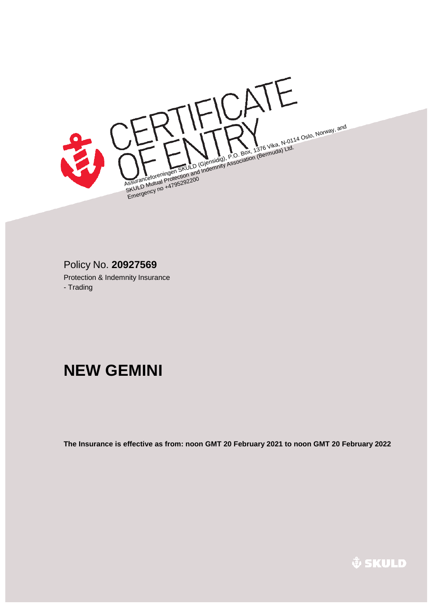Assuranceforeningen SKULD (Gjensidig), P.O. Box, 1376 Vika, N-0114 Oslo, Norway, and<br>Assuranceforeningen SKULD (Gjensidig), P.O. Box, 1376 Vika, N-0114 Oslo, Norway, and<br>Assuranceforeningen SKULD (Gjensidig), Association ( SSuranceforeningen SKULD (Giensidig), P.O. Box, 1376 Vincia) Ltd.<br>SSuranceforeningen SKULD (Giensidig), Association (Bermuda) Ltd.<br>SKULD Mutual Protection and Indemnity Association (Bermuda) Ltd. ssurancelologi<br>SKULD Mutual Protector<br>Emergency no +4795292200<br>Emergency no +4795292

# Protection & Indemnity Insurance Policy No. **20927569**

- Trading

# **NEW GEMINI**

**The Insurance is effective as from: noon GMT 20 February 2021 to noon GMT 20 February 2022**

*&* SKULD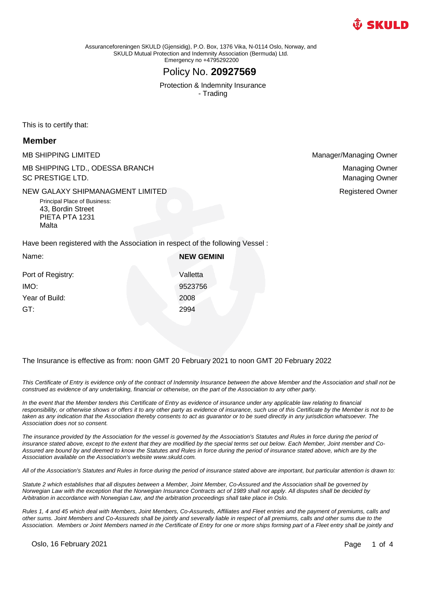

Assuranceforeningen SKULD (Gjensidig), P.O. Box, 1376 Vika, N-0114 Oslo, Norway, and SKULD Mutual Protection and Indemnity Association (Bermuda) Ltd. Emergency no +4795292200

# Policy No. **20927569**

Protection & Indemnity Insurance - Trading

This is to certify that:

#### **Member**

MB SHIPPING LIMITED **Manager/Managing Owner** Manager/Managing Owner MB SHIPPING LTD., ODESSA BRANCH SC PRESTIGE LTD.

NEW GALAXY SHIPMANAGMENT LIMITED **A CONSTRUCTED A CONSTRUCT CONSTRUCT A CONSTRUCT CONSTRUCT CONSTRUCTED** 

Principal Place of Business: 43, Bordin Street PIETA PTA 1231 Malta

Managing Owner Managing Owner

Have been registered with the Association in respect of the following Vessel :

| Name:             | <b>NEW GEMINI</b> |
|-------------------|-------------------|
| Port of Registry: | Valletta          |
| IMO:              | 9523756           |
| Year of Build:    | 2008              |
| GT:               | 2994              |
|                   |                   |

The Insurance is effective as from: noon GMT 20 February 2021 to noon GMT 20 February 2022

*This Certificate of Entry is evidence only of the contract of Indemnity Insurance between the above Member and the Association and shall not be construed as evidence of any undertaking, financial or otherwise, on the part of the Association to any other party.*

In the event that the Member tenders this Certificate of Entry as evidence of insurance under any applicable law relating to financial responsibility, or otherwise shows or offers it to any other party as evidence of insurance, such use of this Certificate by the Member is not to be taken as any indication that the Association thereby consents to act as guarantor or to be sued directly in any jurisdiction whatsoever. The *Association does not so consent.*

*The insurance provided by the Association for the vessel is governed by the Association's Statutes and Rules in force during the period of insurance stated above, except to the extent that they are modified by the special terms set out below. Each Member, Joint member and Co-Assured are bound by and deemed to know the Statutes and Rules in force during the period of insurance stated above, which are by the Association available on the Association's website www.skuld.com.*

*All of the Association's Statutes and Rules in force during the period of insurance stated above are important, but particular attention is drawn to:*

*Statute 2 which establishes that all disputes between a Member, Joint Member, Co-Assured and the Association shall be governed by Norwegian Law with the exception that the Norwegian Insurance Contracts act of 1989 shall not apply. All disputes shall be decided by Arbitration in accordance with Norwegian Law, and the arbitration proceedings shall take place in Oslo.*

*Rules 1, 4 and 45 which deal with Members, Joint Members, Co-Assureds, Affiliates and Fleet entries and the payment of premiums, calls and other sums. Joint Members and Co-Assureds shall be jointly and severally liable in respect of all premiums, calls and other sums due to the Association. Members or Joint Members named in the Certificate of Entry for one or more ships forming part of a Fleet entry shall be jointly and* 

Oslo, 16 February 2021 **Page 1 of 4**  $\overline{P}$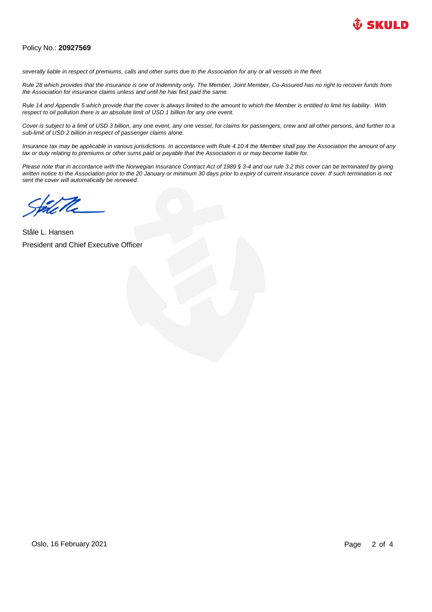

#### Policy No.: **20927569**

*severally liable in respect of premiums, calls and other sums due to the Association for any or all vessels in the fleet.*

*Rule 28 which provides that the insurance is one of Indemnity only. The Member, Joint Member, Co-Assured has no right to recover funds from the Association for insurance claims unless and until he has first paid the same.*

*Rule 14 and Appendix 5 which provide that the cover is always limited to the amount to which the Member is entitled to limit his liability. With respect to oil pollution there is an absolute limit of USD 1 billion for any one event.*

*Cover is subject to a limit of USD 3 billion, any one event, any one vessel, for claims for passengers, crew and all other persons, and further to a sub-limit of USD 2 billion in respect of passenger claims alone.*

*Insurance tax may be applicable in various jurisdictions. In accordance with Rule 4.10.4 the Member shall pay the Association the amount of any tax or duty relating to premiums or other sums paid or payable that the Association is or may become liable for.*

*Please note that in accordance with the Norwegian Insurance Contract Act of 1989 § 3-4 and our rule 3.2 this cover can be terminated by giving*  written notice to the Association prior to the 20 January or minimum 30 days prior to expiry of current insurance cover. If such termination is not *sent the cover will automatically be renewed.*

Ståle L. Hansen President and Chief Executive Officer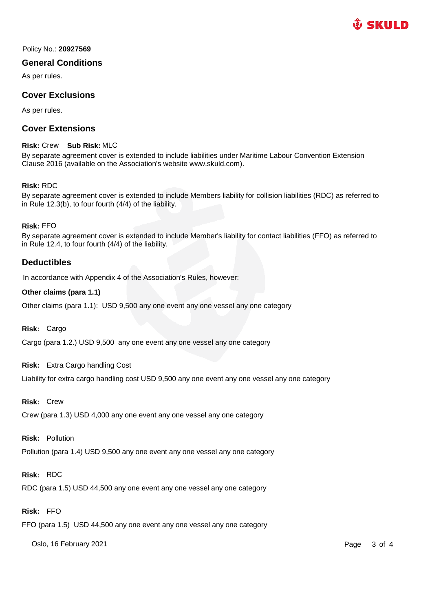

Policy No.: **20927569** 

### **General Conditions**

As per rules.

# **Cover Exclusions**

As per rules.

# **Cover Extensions**

#### **Risk:** Crew **Sub Risk:** MLC

By separate agreement cover is extended to include liabilities under Maritime Labour Convention Extension Clause 2016 (available on the Association's website www.skuld.com).

#### **Risk:** RDC

By separate agreement cover is extended to include Members liability for collision liabilities (RDC) as referred to in Rule 12.3(b), to four fourth (4/4) of the liability.

#### **Risk:** FFO

By separate agreement cover is extended to include Member's liability for contact liabilities (FFO) as referred to in Rule 12.4, to four fourth (4/4) of the liability.

## **Deductibles**

In accordance with Appendix 4 of the Association's Rules, however:

#### **Other claims (para 1.1)**

Other claims (para 1.1): USD 9,500 any one event any one vessel any one category

**Risk:** Cargo

Cargo (para 1.2.) USD 9,500 any one event any one vessel any one category

#### **Risk:** Extra Cargo handling Cost

Liability for extra cargo handling cost USD 9,500 any one event any one vessel any one category

**Risk:** Crew

Crew (para 1.3) USD 4,000 any one event any one vessel any one category

#### **Risk:** Pollution

Pollution (para 1.4) USD 9,500 any one event any one vessel any one category

# **Risk:** RDC

RDC (para 1.5) USD 44,500 any one event any one vessel any one category

# **Risk:** FFO

FFO (para 1.5) USD 44,500 any one event any one vessel any one category

Oslo, 16 February 2021 **Page 3 of 4** Page 3 of 4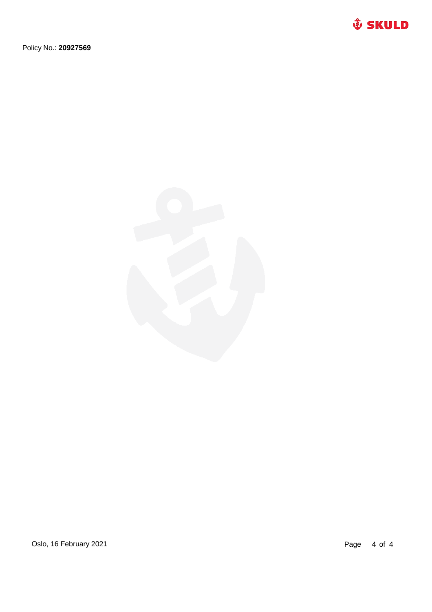

Policy No.: **20927569** 



Oslo, 16 February 2021 2021 2021 20:30 Page 4 of 4